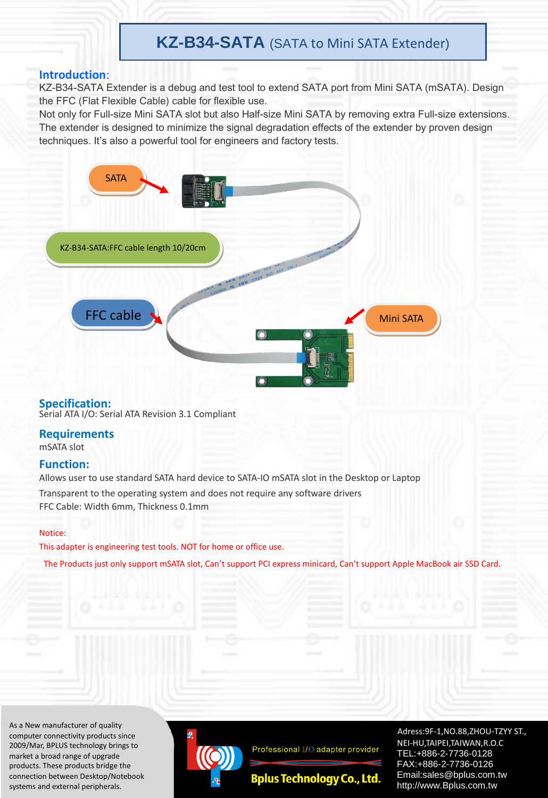# **KZ-B34-SATA** (SATA to Mini SATA Extender)

## **Introduction**:

KZ-B34-SATA Extender is a debug and test tool to extend SATA port from Mini SATA (mSATA). Design the FFC (Flat Flexible Cable) cable for flexible use.

Not only for Full-size Mini SATA slot but also Half-size Mini SATA by removing extra Full-size extensions. The extender is designed to minimize the signal degradation effects of the extender by proven design techniques. It's also a powerful tool for engineers and factory tests.



#### **Specification:**

Serial ATA I/O: Serial ATA Revision 3.1 Compliant

## **Requirements**

mSATA slot

## **Function:**

Allows user to use standard SATA hard device to SATA-IO mSATA slot in the Desktop or Laptop

Transparent to the operating system and does not require any software drivers FFC Cable: Width 6mm, Thickness 0.1mm

#### Notice:

This adapter is engineering test tools. NOT for home or office use.

The Products just only support mSATA slot, Can't support PCI express minicard, Can't support Apple MacBook air SSD Card.

As a New manufacturer of quality computer connectivity products since 2009/Mar, BPLUS technology brings to market a broad range of upgrade products. These products bridge the connection between Desktop/Notebook systems and external peripherals.



Professional I/O adapter provider

**Bplus Technology Co., Ltd.** 

Adress:9F-1,NO.88,ZHOU-TZYY ST., NEI-HU,TAIPEI,TAIWAN,R.O.C TEL:+886-2-7736-0128 FAX:+886-2-7736-0126 Email:sales@bplus.com.tw http://www.Bplus.com.tw